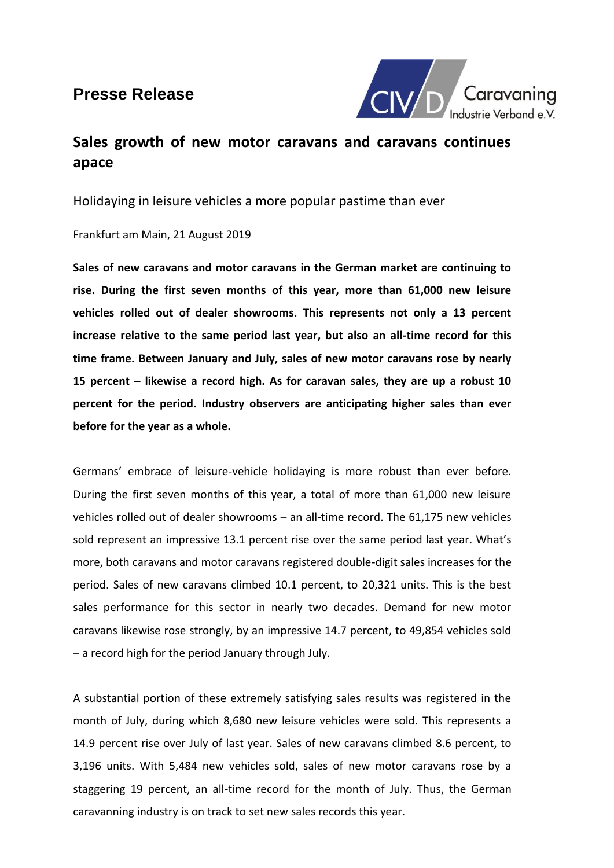## **Presse Release**



## **Sales growth of new motor caravans and caravans continues apace**

Holidaying in leisure vehicles a more popular pastime than ever

Frankfurt am Main, 21 August 2019

**Sales of new caravans and motor caravans in the German market are continuing to rise. During the first seven months of this year, more than 61,000 new leisure vehicles rolled out of dealer showrooms. This represents not only a 13 percent increase relative to the same period last year, but also an all-time record for this time frame. Between January and July, sales of new motor caravans rose by nearly 15 percent – likewise a record high. As for caravan sales, they are up a robust 10 percent for the period. Industry observers are anticipating higher sales than ever before for the year as a whole.** 

Germans' embrace of leisure-vehicle holidaying is more robust than ever before. During the first seven months of this year, a total of more than 61,000 new leisure vehicles rolled out of dealer showrooms – an all-time record. The 61,175 new vehicles sold represent an impressive 13.1 percent rise over the same period last year. What's more, both caravans and motor caravans registered double-digit sales increases for the period. Sales of new caravans climbed 10.1 percent, to 20,321 units. This is the best sales performance for this sector in nearly two decades. Demand for new motor caravans likewise rose strongly, by an impressive 14.7 percent, to 49,854 vehicles sold – a record high for the period January through July.

A substantial portion of these extremely satisfying sales results was registered in the month of July, during which 8,680 new leisure vehicles were sold. This represents a 14.9 percent rise over July of last year. Sales of new caravans climbed 8.6 percent, to 3,196 units. With 5,484 new vehicles sold, sales of new motor caravans rose by a staggering 19 percent, an all-time record for the month of July. Thus, the German caravanning industry is on track to set new sales records this year.